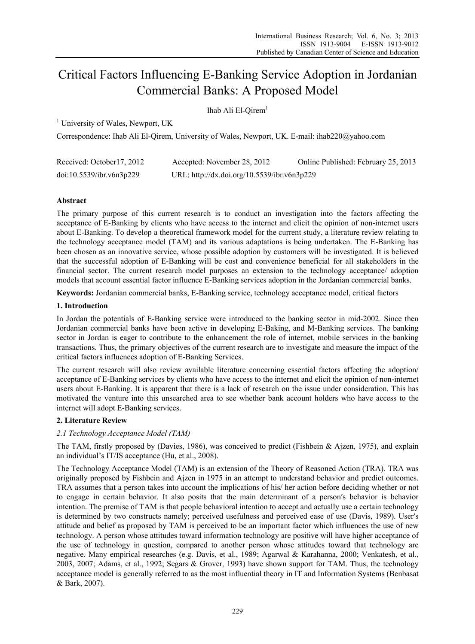# Critical Factors Influencing E-Banking Service Adoption in Jordanian Commercial Banks: A Proposed Model

Ihab Ali El-Qirem<sup>1</sup>

<sup>1</sup> University of Wales, Newport, UK

Correspondence: Ihab Ali El-Qirem, University of Wales, Newport, UK. E-mail: ihab220@yahoo.com

| Received: October 17, 2012 | Accepted: November 28, 2012                 | Online Published: February 25, 2013 |
|----------------------------|---------------------------------------------|-------------------------------------|
| doi:10.5539/ibr.v6n3p229   | URL: http://dx.doi.org/10.5539/ibr.v6n3p229 |                                     |

# **Abstract**

The primary purpose of this current research is to conduct an investigation into the factors affecting the acceptance of E-Banking by clients who have access to the internet and elicit the opinion of non-internet users about E-Banking. To develop a theoretical framework model for the current study, a literature review relating to the technology acceptance model (TAM) and its various adaptations is being undertaken. The E-Banking has been chosen as an innovative service, whose possible adoption by customers will be investigated. It is believed that the successful adoption of E-Banking will be cost and convenience beneficial for all stakeholders in the financial sector. The current research model purposes an extension to the technology acceptance/ adoption models that account essential factor influence E-Banking services adoption in the Jordanian commercial banks.

**Keywords:** Jordanian commercial banks, E-Banking service, technology acceptance model, critical factors

# **1. Introduction**

In Jordan the potentials of E-Banking service were introduced to the banking sector in mid-2002. Since then Jordanian commercial banks have been active in developing E-Baking, and M-Banking services. The banking sector in Jordan is eager to contribute to the enhancement the role of internet, mobile services in the banking transactions. Thus, the primary objectives of the current research are to investigate and measure the impact of the critical factors influences adoption of E-Banking Services.

The current research will also review available literature concerning essential factors affecting the adoption/ acceptance of E-Banking services by clients who have access to the internet and elicit the opinion of non-internet users about E-Banking. It is apparent that there is a lack of research on the issue under consideration. This has motivated the venture into this unsearched area to see whether bank account holders who have access to the internet will adopt E-Banking services.

# **2. Literature Review**

# *2.1 Technology Acceptance Model (TAM)*

The TAM, firstly proposed by (Davies, 1986), was conceived to predict (Fishbein & Ajzen, 1975), and explain an individual's IT/IS acceptance (Hu, et al., 2008).

The Technology Acceptance Model (TAM) is an extension of the Theory of Reasoned Action (TRA). TRA was originally proposed by Fishbein and Ajzen in 1975 in an attempt to understand behavior and predict outcomes. TRA assumes that a person takes into account the implications of his/ her action before deciding whether or not to engage in certain behavior. It also posits that the main determinant of a person′s behavior is behavior intention. The premise of TAM is that people behavioral intention to accept and actually use a certain technology is determined by two constructs namely; perceived usefulness and perceived ease of use (Davis, 1989). User′s attitude and belief as proposed by TAM is perceived to be an important factor which influences the use of new technology. A person whose attitudes toward information technology are positive will have higher acceptance of the use of technology in question, compared to another person whose attitudes toward that technology are negative. Many empirical researches (e.g. Davis, et al., 1989; Agarwal & Karahanna, 2000; Venkatesh, et al., 2003, 2007; Adams, et al., 1992; Segars & Grover, 1993) have shown support for TAM. Thus, the technology acceptance model is generally referred to as the most influential theory in IT and Information Systems (Benbasat & Bark, 2007).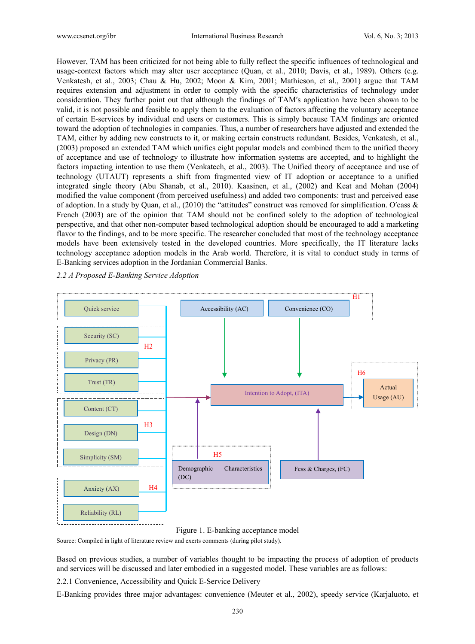However, TAM has been criticized for not being able to fully reflect the specific influences of technological and usage-context factors which may alter user acceptance (Quan, et al., 2010; Davis, et al., 1989). Others (e.g. Venkatesh, et al., 2003; Chau & Hu, 2002; Moon & Kim, 2001; Mathieson, et al., 2001) argue that TAM requires extension and adjustment in order to comply with the specific characteristics of technology under consideration. They further point out that although the findings of TAM′s application have been shown to be valid, it is not possible and feasible to apply them to the evaluation of factors affecting the voluntary acceptance of certain E-services by individual end users or customers. This is simply because TAM findings are oriented toward the adoption of technologies in companies. Thus, a number of researchers have adjusted and extended the TAM, either by adding new constructs to it, or making certain constructs redundant. Besides, Venkatesh, et al., (2003) proposed an extended TAM which unifies eight popular models and combined them to the unified theory of acceptance and use of technology to illustrate how information systems are accepted, and to highlight the factors impacting intention to use them (Venkatech, et al., 2003). The Unified theory of acceptance and use of technology (UTAUT) represents a shift from fragmented view of IT adoption or acceptance to a unified integrated single theory (Abu Shanab, et al., 2010). Kaasinen, et al., (2002) and Keat and Mohan (2004) modified the value component (from perceived usefulness) and added two components: trust and perceived ease of adoption. In a study by Quan, et al., (2010) the "attitudes" construct was removed for simplification. O′cass & French (2003) are of the opinion that TAM should not be confined solely to the adoption of technological perspective, and that other non-computer based technological adoption should be encouraged to add a marketing flavor to the findings, and to be more specific. The researcher concluded that most of the technology acceptance models have been extensively tested in the developed countries. More specifically, the IT literature lacks technology acceptance adoption models in the Arab world. Therefore, it is vital to conduct study in terms of E-Banking services adoption in the Jordanian Commercial Banks.

*2.2 A Proposed E-Banking Service Adoption* 





Source: Compiled in light of literature review and exerts comments (during pilot study).

Based on previous studies, a number of variables thought to be impacting the process of adoption of products and services will be discussed and later embodied in a suggested model. These variables are as follows:

2.2.1 Convenience, Accessibility and Quick E-Service Delivery

E-Banking provides three major advantages: convenience (Meuter et al., 2002), speedy service (Karjaluoto, et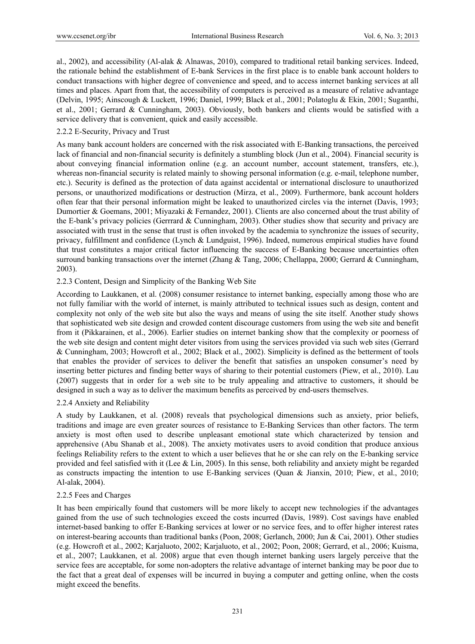al., 2002), and accessibility (Al-alak & Alnawas, 2010), compared to traditional retail banking services. Indeed, the rationale behind the establishment of E-bank Services in the first place is to enable bank account holders to conduct transactions with higher degree of convenience and speed, and to access internet banking services at all times and places. Apart from that, the accessibility of computers is perceived as a measure of relative advantage (Delvin, 1995; Ainscough & Luckett, 1996; Daniel, 1999; Black et al., 2001; Polatoglu & Ekin, 2001; Suganthi, et al., 2001; Gerrard & Cunningham, 2003). Obviously, both bankers and clients would be satisfied with a service delivery that is convenient, quick and easily accessible.

#### 2.2.2 E-Security, Privacy and Trust

As many bank account holders are concerned with the risk associated with E-Banking transactions, the perceived lack of financial and non-financial security is definitely a stumbling block (Jun et al., 2004). Financial security is about conveying financial information online (e.g. an account number, account statement, transfers, etc.), whereas non-financial security is related mainly to showing personal information (e.g. e-mail, telephone number, etc.). Security is defined as the protection of data against accidental or international disclosure to unauthorized persons, or unauthorized modifications or destruction (Mirza, et al., 2009). Furthermore, bank account holders often fear that their personal information might be leaked to unauthorized circles via the internet (Davis, 1993; Dumortier & Goemans, 2001; Miyazaki & Fernandez, 2001). Clients are also concerned about the trust ability of the E-bank's privacy policies (Gerrrard & Cunningham, 2003). Other studies show that security and privacy are associated with trust in the sense that trust is often invoked by the academia to synchronize the issues of security, privacy, fulfillment and confidence (Lynch & Lundguist, 1996). Indeed, numerous empirical studies have found that trust constitutes a major critical factor influencing the success of E-Banking because uncertainties often surround banking transactions over the internet (Zhang & Tang, 2006; Chellappa, 2000; Gerrard & Cunningham, 2003).

## 2.2.3 Content, Design and Simplicity of the Banking Web Site

According to Laukkanen, et al. (2008) consumer resistance to internet banking, especially among those who are not fully familiar with the world of internet, is mainly attributed to technical issues such as design, content and complexity not only of the web site but also the ways and means of using the site itself. Another study shows that sophisticated web site design and crowded content discourage customers from using the web site and benefit from it (Pikkarainen, et al., 2006). Earlier studies on internet banking show that the complexity or poorness of the web site design and content might deter visitors from using the services provided via such web sites (Gerrard & Cunningham, 2003; Howcroft et al., 2002; Black et al., 2002). Simplicity is defined as the betterment of tools that enables the provider of services to deliver the benefit that satisfies an unspoken consumer's need by inserting better pictures and finding better ways of sharing to their potential customers (Piew, et al., 2010). Lau (2007) suggests that in order for a web site to be truly appealing and attractive to customers, it should be designed in such a way as to deliver the maximum benefits as perceived by end-users themselves.

## 2.2.4 Anxiety and Reliability

A study by Laukkanen, et al. (2008) reveals that psychological dimensions such as anxiety, prior beliefs, traditions and image are even greater sources of resistance to E-Banking Services than other factors. The term anxiety is most often used to describe unpleasant emotional state which characterized by tension and apprehensive (Abu Shanab et al., 2008). The anxiety motivates users to avoid condition that produce anxious feelings Reliability refers to the extent to which a user believes that he or she can rely on the E-banking service provided and feel satisfied with it (Lee & Lin, 2005). In this sense, both reliability and anxiety might be regarded as constructs impacting the intention to use E-Banking services (Quan & Jianxin, 2010; Piew, et al., 2010; Al-alak, 2004).

#### 2.2.5 Fees and Charges

It has been empirically found that customers will be more likely to accept new technologies if the advantages gained from the use of such technologies exceed the costs incurred (Davis, 1989). Cost savings have enabled internet-based banking to offer E-Banking services at lower or no service fees, and to offer higher interest rates on interest-bearing accounts than traditional banks (Poon, 2008; Gerlanch, 2000; Jun & Cai, 2001). Other studies (e.g. Howcroft et al., 2002; Karjaluoto, 2002; Karjaluoto, et al., 2002; Poon, 2008; Gerrard, et al., 2006; Kuisma, et al., 2007; Laukkanen, et al. 2008) argue that even though internet banking users largely perceive that the service fees are acceptable, for some non-adopters the relative advantage of internet banking may be poor due to the fact that a great deal of expenses will be incurred in buying a computer and getting online, when the costs might exceed the benefits.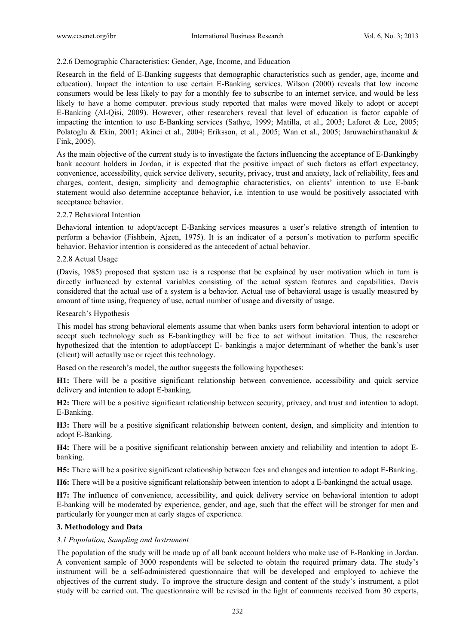## 2.2.6 Demographic Characteristics: Gender, Age, Income, and Education

Research in the field of E-Banking suggests that demographic characteristics such as gender, age, income and education). Impact the intention to use certain E-Banking services. Wilson (2000) reveals that low income consumers would be less likely to pay for a monthly fee to subscribe to an internet service, and would be less likely to have a home computer. previous study reported that males were moved likely to adopt or accept E-Banking (Al-Qisi, 2009). However, other researchers reveal that level of education is factor capable of impacting the intention to use E-Banking services (Sathye, 1999; Matilla, et al., 2003; Laforet & Lee, 2005; Polatoglu & Ekin, 2001; Akinci et al., 2004; Eriksson, et al., 2005; Wan et al., 2005; Jaruwachirathanakul & Fink, 2005).

As the main objective of the current study is to investigate the factors influencing the acceptance of E-Bankingby bank account holders in Jordan, it is expected that the positive impact of such factors as effort expectancy, convenience, accessibility, quick service delivery, security, privacy, trust and anxiety, lack of reliability, fees and charges, content, design, simplicity and demographic characteristics, on clients' intention to use E-bank statement would also determine acceptance behavior, i.e. intention to use would be positively associated with acceptance behavior.

## 2.2.7 Behavioral Intention

Behavioral intention to adopt/accept E-Banking services measures a user's relative strength of intention to perform a behavior (Fishbein, Ajzen, 1975). It is an indicator of a person's motivation to perform specific behavior. Behavior intention is considered as the antecedent of actual behavior.

## 2.2.8 Actual Usage

(Davis, 1985) proposed that system use is a response that be explained by user motivation which in turn is directly influenced by external variables consisting of the actual system features and capabilities. Davis considered that the actual use of a system is a behavior. Actual use of behavioral usage is usually measured by amount of time using, frequency of use, actual number of usage and diversity of usage.

#### Research's Hypothesis

This model has strong behavioral elements assume that when banks users form behavioral intention to adopt or accept such technology such as E-bankingthey will be free to act without imitation. Thus, the researcher hypothesized that the intention to adopt/accept E- bankingis a major determinant of whether the bank's user (client) will actually use or reject this technology.

Based on the research's model, the author suggests the following hypotheses:

**H1:** There will be a positive significant relationship between convenience, accessibility and quick service delivery and intention to adopt E-banking.

**H2:** There will be a positive significant relationship between security, privacy, and trust and intention to adopt. E-Banking.

**H3:** There will be a positive significant relationship between content, design, and simplicity and intention to adopt E-Banking.

**H4:** There will be a positive significant relationship between anxiety and reliability and intention to adopt Ebanking.

**H5:** There will be a positive significant relationship between fees and changes and intention to adopt E-Banking.

**H6:** There will be a positive significant relationship between intention to adopt a E-bankingnd the actual usage.

**H7:** The influence of convenience, accessibility, and quick delivery service on behavioral intention to adopt E-banking will be moderated by experience, gender, and age, such that the effect will be stronger for men and particularly for younger men at early stages of experience.

## **3. Methodology and Data**

## *3.1 Population, Sampling and Instrument*

The population of the study will be made up of all bank account holders who make use of E-Banking in Jordan. A convenient sample of 3000 respondents will be selected to obtain the required primary data. The study's instrument will be a self-administered questionnaire that will be developed and employed to achieve the objectives of the current study. To improve the structure design and content of the study's instrument, a pilot study will be carried out. The questionnaire will be revised in the light of comments received from 30 experts,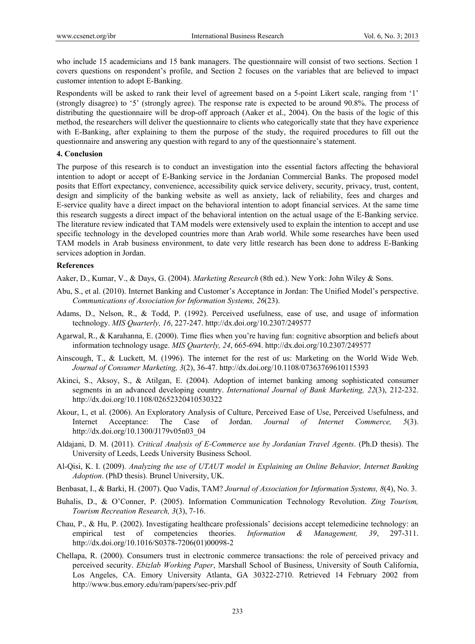who include 15 academicians and 15 bank managers. The questionnaire will consist of two sections. Section 1 covers questions on respondent's profile, and Section 2 focuses on the variables that are believed to impact customer intention to adopt E-Banking.

Respondents will be asked to rank their level of agreement based on a 5-point Likert scale, ranging from '1' (strongly disagree) to '5' (strongly agree). The response rate is expected to be around 90.8%. The process of distributing the questionnaire will be drop-off approach (Aaker et al., 2004). On the basis of the logic of this method, the researchers will deliver the questionnaire to clients who categorically state that they have experience with E-Banking, after explaining to them the purpose of the study, the required procedures to fill out the questionnaire and answering any question with regard to any of the questionnaire's statement.

#### **4. Conclusion**

The purpose of this research is to conduct an investigation into the essential factors affecting the behavioral intention to adopt or accept of E-Banking service in the Jordanian Commercial Banks. The proposed model posits that Effort expectancy, convenience, accessibility quick service delivery, security, privacy, trust, content, design and simplicity of the banking website as well as anxiety, lack of reliability, fees and charges and E-service quality have a direct impact on the behavioral intention to adopt financial services. At the same time this research suggests a direct impact of the behavioral intention on the actual usage of the E-Banking service. The literature review indicated that TAM models were extensively used to explain the intention to accept and use specific technology in the developed countries more than Arab world. While some researches have been used TAM models in Arab business environment, to date very little research has been done to address E-Banking services adoption in Jordan.

#### **References**

Aaker, D., Kumar, V., & Days, G. (2004). *Marketing Research* (8th ed.). New York: John Wiley & Sons.

- Abu, S., et al. (2010). Internet Banking and Customer's Acceptance in Jordan: The Unified Model's perspective. *Communications of Association for Information Systems, 26*(23).
- Adams, D., Nelson, R., & Todd, P. (1992). Perceived usefulness, ease of use, and usage of information technology. *MIS Quarterly, 16*, 227-247. http://dx.doi.org/10.2307/249577
- Agarwal, R., & Karahanna, E. (2000). Time flies when you're having fun: cognitive absorption and beliefs about information technology usage. *MIS Quarterly, 24*, 665-694. http://dx.doi.org/10.2307/249577
- Ainscough, T., & Luckett, M. (1996). The internet for the rest of us: Marketing on the World Wide Web. *Journal of Consumer Marketing, 3*(2), 36-47. http://dx.doi.org/10.1108/07363769610115393
- Akinci, S., Aksoy, S., & Atilgan, E. (2004). Adoption of internet banking among sophisticated consumer segments in an advanced developing country. *International Journal of Bank Marketing, 22*(3), 212-232. http://dx.doi.org/10.1108/02652320410530322
- Akour, I., et al. (2006). An Exploratory Analysis of Culture, Perceived Ease of Use, Perceived Usefulness, and Internet Acceptance: The Case of Jordan. *Journal of Internet Commerce, 5*(3). http://dx.doi.org/10.1300/J179v05n03\_04
- Aldajani, D. M. (2011). *Critical Analysis of E-Commerce use by Jordanian Travel Agents*. (Ph.D thesis). The University of Leeds, Leeds University Business School.
- Al-Qisi, K. I. (2009). *Analyzing the use of UTAUT model in Explaining an Online Behavior, Internet Banking Adoption*. (PhD thesis). Brunel University, UK.
- Benbasat, I., & Barki, H. (2007). Quo Vadis, TAM? *Journal of Association for Information Systems, 8*(4), No. 3.
- Buhalis, D., & O'Conner, P. (2005). Information Communication Technology Revolution. *Zing Tourism, Tourism Recreation Research, 3*(3), 7-16.
- Chau, P., & Hu, P. (2002). Investigating healthcare professionals' decisions accept telemedicine technology: an empirical test of competencies theories. *Information & Management, 39*, 297-311. http://dx.doi.org/10.1016/S0378-7206(01)00098-2
- Chellapa, R. (2000). Consumers trust in electronic commerce transactions: the role of perceived privacy and perceived security. *Ebizlab Working Paper*, Marshall School of Business, University of South California, Los Angeles, CA. Emory University Atlanta, GA 30322-2710. Retrieved 14 February 2002 from http://www.bus.emory.edu/ram/papers/sec-priv.pdf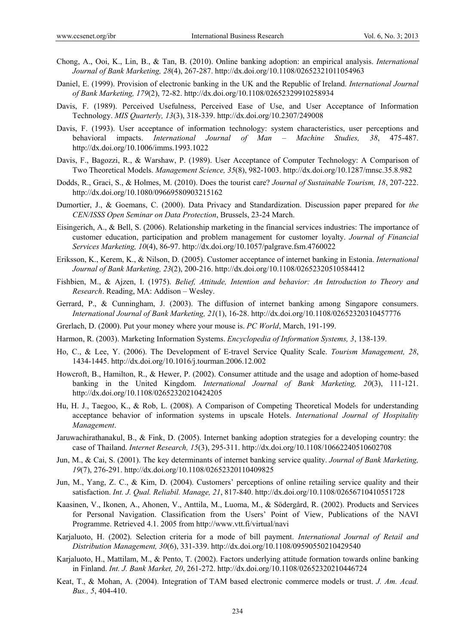- Chong, A., Ooi, K., Lin, B., & Tan, B. (2010). Online banking adoption: an empirical analysis. *International Journal of Bank Marketing, 28*(4), 267-287. http://dx.doi.org/10.1108/02652321011054963
- Daniel, E. (1999). Provision of electronic banking in the UK and the Republic of Ireland. *International Journal of Bank Marketing, 179*(2), 72-82. http://dx.doi.org/10.1108/02652329910258934
- Davis, F. (1989). Perceived Usefulness, Perceived Ease of Use, and User Acceptance of Information Technology. *MIS Quarterly, 13*(3), 318-339. http://dx.doi.org/10.2307/249008
- Davis, F. (1993). User acceptance of information technology: system characteristics, user perceptions and behavioral impacts. *International Journal of Man – Machine Studies, 38*, 475-487. http://dx.doi.org/10.1006/imms.1993.1022
- Davis, F., Bagozzi, R., & Warshaw, P. (1989). User Acceptance of Computer Technology: A Comparison of Two Theoretical Models. *Management Science, 35*(8), 982-1003. http://dx.doi.org/10.1287/mnsc.35.8.982
- Dodds, R., Graci, S., & Holmes, M. (2010). Does the tourist care? *Journal of Sustainable Tourism, 18*, 207-222. http://dx.doi.org/10.1080/09669580903215162
- Dumortier, J., & Goemans, C. (2000). Data Privacy and Standardization. Discussion paper prepared for *the CEN/ISSS Open Seminar on Data Protection*, Brussels, 23-24 March.
- Eisingerich, A., & Bell, S. (2006). Relationship marketing in the financial services industries: The importance of customer education, participation and problem management for customer loyalty. *Journal of Financial Services Marketing, 10*(4), 86-97. http://dx.doi.org/10.1057/palgrave.fsm.4760022
- Eriksson, K., Kerem, K., & Nilson, D. (2005). Customer acceptance of internet banking in Estonia. *International Journal of Bank Marketing, 23*(2), 200-216. http://dx.doi.org/10.1108/02652320510584412
- Fishbien, M., & Ajzen, I. (1975). *Belief, Attitude, Intention and behavior: An Introduction to Theory and Research*. Reading, MA: Addison – Wesley.
- Gerrard, P., & Cunningham, J. (2003). The diffusion of internet banking among Singapore consumers. *International Journal of Bank Marketing, 21*(1), 16-28. http://dx.doi.org/10.1108/02652320310457776
- Grerlach, D. (2000). Put your money where your mouse is. *PC World*, March, 191-199.
- Harmon, R. (2003). Marketing Information Systems. *Encyclopedia of Information Systems, 3*, 138-139.
- Ho, C., & Lee, Y. (2006). The Development of E-travel Service Quality Scale. *Tourism Management, 28*, 1434-1445. http://dx.doi.org/10.1016/j.tourman.2006.12.002
- Howcroft, B., Hamilton, R., & Hewer, P. (2002). Consumer attitude and the usage and adoption of home-based banking in the United Kingdom. *International Journal of Bank Marketing, 20*(3), 111-121. http://dx.doi.org/10.1108/02652320210424205
- Hu, H. J., Taegoo, K., & Rob, L. (2008). A Comparison of Competing Theoretical Models for understanding acceptance behavior of information systems in upscale Hotels. *International Journal of Hospitality Management*.
- Jaruwachirathanakul, B., & Fink, D. (2005). Internet banking adoption strategies for a developing country: the case of Thailand. *Internet Research, 15*(3), 295-311. http://dx.doi.org/10.1108/10662240510602708
- Jun, M., & Cai, S. (2001). The key determinants of internet banking service quality. *Journal of Bank Marketing, 19*(7), 276-291. http://dx.doi.org/10.1108/02652320110409825
- Jun, M., Yang, Z. C., & Kim, D. (2004). Customers' perceptions of online retailing service quality and their satisfaction. *Int. J. Qual. Reliabil. Manage, 21*, 817-840. http://dx.doi.org/10.1108/02656710410551728
- Kaasinen, V., Ikonen, A., Ahonen, V., Anttila, M., Luoma, M., & Södergård, R. (2002). Products and Services for Personal Navigation. Classification from the Users' Point of View, Publications of the NAVI Programme. Retrieved 4.1. 2005 from http://www.vtt.fi/virtual/navi
- Karjaluoto, H. (2002). Selection criteria for a mode of bill payment. *International Journal of Retail and Distribution Management, 30*(6), 331-339. http://dx.doi.org/10.1108/09590550210429540
- Karjaluoto, H., Mattilam, M., & Pento, T. (2002). Factors underlying attitude formation towards online banking in Finland. *Int. J. Bank Market, 20*, 261-272. http://dx.doi.org/10.1108/02652320210446724
- Keat, T., & Mohan, A. (2004). Integration of TAM based electronic commerce models or trust. *J. Am. Acad. Bus., 5*, 404-410.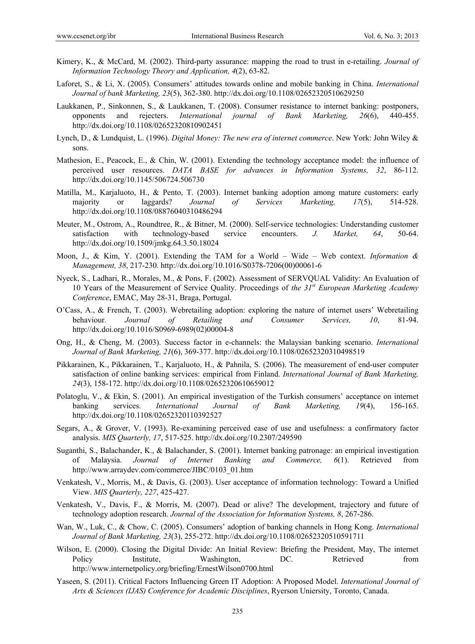- Kimery, K., & McCard, M. (2002). Third-party assurance: mapping the road to trust in e-retailing. *Journal of Information Technology Theory and Application, 4*(2), 63-82.
- Laforet, S., & Li, X. (2005). Consumers' attitudes towards online and mobile banking in China. *International Journal of bank Marketing, 23*(5), 362-380. http://dx.doi.org/10.1108/02652320510629250
- Laukkanen, P., Sinkonnen, S., & Laukkanen, T. (2008). Consumer resistance to internet banking: postponers, opponents and rejecters. *International journal of Bank Marketing, 26*(6), 440-455. http://dx.doi.org/10.1108/02652320810902451
- Lynch, D., & Lundquist, L. (1996). *Digital Money: The new era of internet commerce*. New York: John Wiley & sons.
- Mathesion, E., Peacock, E., & Chin, W. (2001). Extending the technology acceptance model: the influence of perceived user resources. *DATA BASE for advances in Information Systems, 32*, 86-112. http://dx.doi.org/10.1145/506724.506730
- Matilla, M., Karjaluoto, H., & Pento, T. (2003). Internet banking adoption among mature customers: early majority or laggards? *Journal of Services Marketing, 17*(5), 514-528. http://dx.doi.org/10.1108/08876040310486294
- Meuter, M., Ostrom, A., Roundtree, R., & Bitner, M. (2000). Self-service technologies: Understanding customer satisfaction with technology-based service encounters. *J. Market, 64*, 50-64. http://dx.doi.org/10.1509/jmkg.64.3.50.18024
- Moon, J., & Kim, Y. (2001). Extending the TAM for a World Wide Web context. *Information & Management, 38*, 217-230. http://dx.doi.org/10.1016/S0378-7206(00)00061-6
- Nyeck, S., Ladhari, R., Morales, M., & Pons, F. (2002). Assessment of SERVQUAL Validity: An Evaluation of 10 Years of the Measurement of Service Quality. Proceedings of *the 31st European Marketing Academy Conference*, EMAC, May 28-31, Braga, Portugal.
- O'Cass, A., & French, T. (2003). Webretailing adoption: exploring the nature of internet users' Webretailing behaviour. *Journal of Retailing and Consumer Services, 10*, 81-94. http://dx.doi.org/10.1016/S0969-6989(02)00004-8
- Ong, H., & Cheng, M. (2003). Success factor in e-channels: the Malaysian banking scenario. *International Journal of Bank Marketing, 21*(6), 369-377. http://dx.doi.org/10.1108/02652320310498519
- Pikkarainen, K., Pikkarainen, T., Karjaluoto, H., & Pahnila, S. (2006). The measurement of end-user computer satisfaction of online banking services: empirical from Finland. *International Journal of Bank Marketing, 24*(3), 158-172. http://dx.doi.org/10.1108/02652320610659012
- Polatoglu, V., & Ekin, S. (2001). An empirical investigation of the Turkish consumers' acceptance on internet banking services. *International Journal of Bank Marketing, 19*(4), 156-165. http://dx.doi.org/10.1108/02652320110392527
- Segars, A., & Grover, V. (1993). Re-examining perceived ease of use and usefulness: a confirmatory factor analysis. *MIS Quarterly, 17*, 517-525. http://dx.doi.org/10.2307/249590
- Suganthi, S., Balachander, K., & Balachander, S. (2001). Internet banking patronage: an empirical investigation of Malaysia. *Journal of Internet Banking and Commerce, 6*(1). Retrieved from http://www.arraydev.com/commerce/JIBC/0103\_01.htm
- Venkatesh, V., Morris, M., & Davis, G. (2003). User acceptance of information technology: Toward a Unified View. *MIS Quarterly, 227*, 425-427.
- Venkatesh, V., Davis, F., & Morris, M. (2007). Dead or alive? The development, trajectory and future of technology adoption research. *Journal of the Association for Information Systems, 8*, 267-286.
- Wan, W., Luk, C., & Chow, C. (2005). Consumers' adoption of banking channels in Hong Kong. *International Journal of Bank Marketing, 23*(3), 255-272. http://dx.doi.org/10.1108/02652320510591711
- Wilson, E. (2000). Closing the Digital Divide: An Initial Review: Briefing the President, May, The internet Policy Institute, Washington, DC. Retrieved from http://www.internetpolicy.org/briefing/ErnestWilson0700.html
- Yaseen, S. (2011). Critical Factors Influencing Green IT Adoption: A Proposed Model. *International Journal of Arts & Sciences (IJAS) Conference for Academic Disciplines*, Ryerson Uniersity, Toronto, Canada.